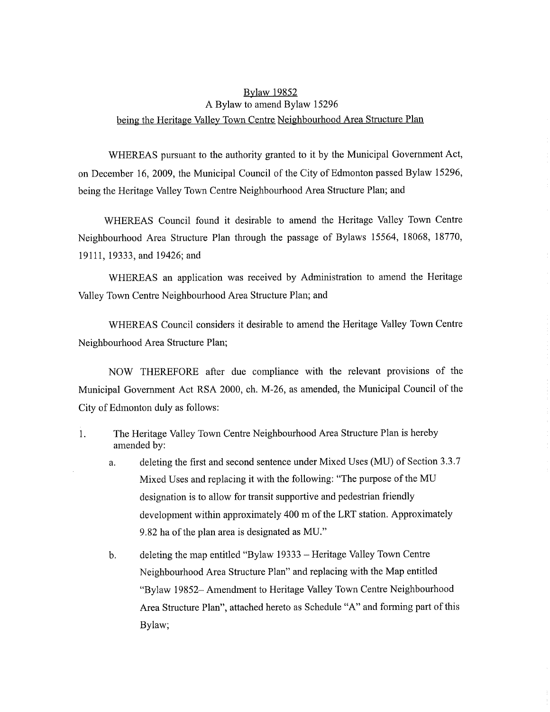## Bylaw 19852 A Bylaw to amend Bylaw 15296 being the Heritage Valley Town Centre Neighbourhood Area Structure Plan

WHEREAS pursuant to the authority granted to it by the Municipal Government Act, on December 16, 2009, the Municipal Council of the City of Edmonton passed Bylaw 15296, being the Heritage Valley Town Centre Neighbourhood Area Structure Plan; and

WHEREAS Council found it desirable to amend the Heritage Valley Town Centre Neighbourhood Area Structure Plan through the passage of Bylaws 15564, 18068, 18770, 19111, 19333, and 19426; and

WHEREAS an application was received by Administration to amend the Heritage Valley Town Centre Neighbourhood Area Structure Plan; and

WHEREAS Council considers it desirable to amend the Heritage Valley Town Centre Neighbourhood Area Structure Plan;

NOW THEREFORE after due compliance with the relevant provisions of the Municipal Government Act RSA 2000, ch. M-26, as amended, the Municipal Council of the City of Edmonton duly as follows:

- 1. The Heritage Valley Town Centre Neighbourhood Area Structure Plan is hereby amended by:
	- a. deleting the first and second sentence under Mixed Uses (MU) of Section 3.3.7 Mixed Uses and replacing it with the following: "The purpose of the MU designation is to allow for transit supportive and pedestrian friendly development within approximately 400 in of the LRT station. Approximately 9.82 ha of the plan area is designated as MU."
	- b. deleting the map entitled "Bylaw 19333 Heritage Valley Town Centre Neighbourhood Area Structure Plan" and replacing with the Map entitled "Bylaw 19852— Amendment to Heritage Valley Town Centre Neighbourhood Area Structure Plan", attached hereto as Schedule "A" and forming part of this Bylaw;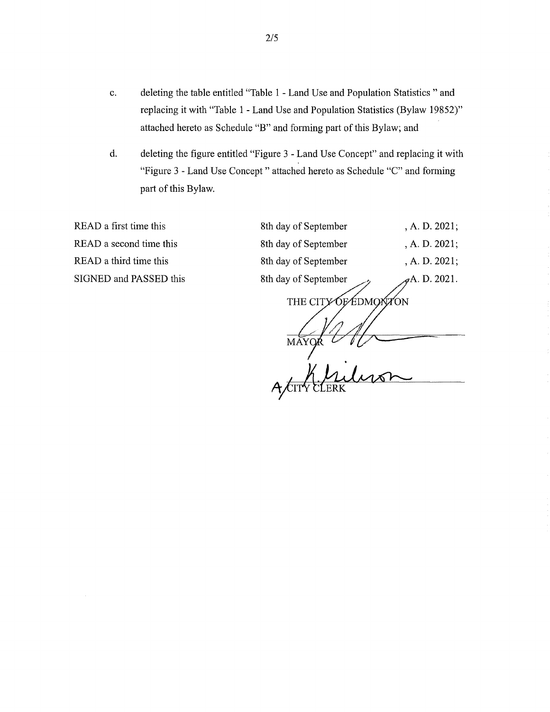- c. deleting the table entitled "Table 1 Land Use and Population Statistics "and replacing it with "Table 1 - Land Use and Population Statistics (Bylaw 19852)" attached hereto as Schedule "B" and forming part of this Bylaw; and
- d. deleting the figure entitled "Figure 3 Land Use Concept" and replacing it with "Figure 3 - Land Use Concept" attached hereto as Schedule "C" and forming part of this Bylaw.

READ a first time this READ a second time this READ a third time this SIGNED and PASSED this

| 8th day of September       | , A. D. 2021; |
|----------------------------|---------------|
| 8th day of September       | , A. D. 2021; |
| 8th day of September       | , A. D. 2021; |
| 8th day of September       | A.D. 2021.    |
| EDMOXÍZ<br>THE CIT<br>MĀYQ |               |
|                            |               |
|                            |               |
|                            |               |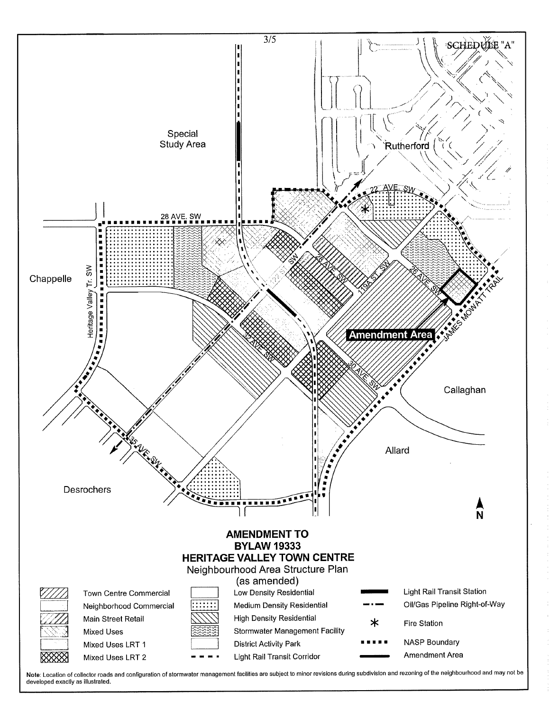

Note: Location of collector roads and configuration of stormwater management facilities are subject to minor revisions during subdivision and rezoning of the neighbourhood and may not be developed exactly as illustrated.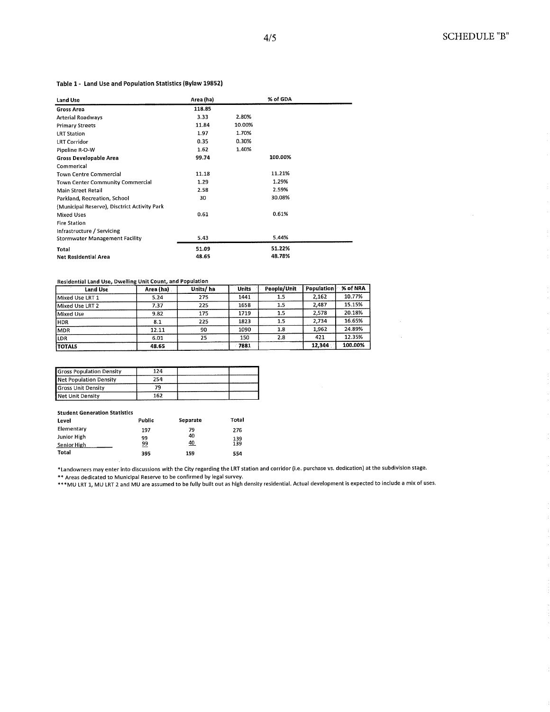## Table 1- Land Use and Population Statistics (Bylaw 19852)

| <b>Land Use</b>                              | Area (ha) |        | % of GDA |  |
|----------------------------------------------|-----------|--------|----------|--|
| <b>Gross Area</b>                            | 118.85    |        |          |  |
| <b>Arterial Roadways</b>                     | 3.33      | 2.80%  |          |  |
| <b>Primary Streets</b>                       | 11.84     | 10.00% |          |  |
| <b>LRT Station</b>                           | 1.97      | 1.70%  |          |  |
| <b>LRT Corridor</b>                          | 0.35      | 0.30%  |          |  |
| Pipeline R-O-W                               | 1.62      | 1.40%  |          |  |
| <b>Gross Developable Area</b>                | 99.74     |        | 100.00%  |  |
| Commerical                                   |           |        |          |  |
| <b>Town Centre Commercial</b>                | 11.18     |        | 11.21%   |  |
| <b>Town Center Community Commercial</b>      | 1.29      |        | 1.29%    |  |
| <b>Main Street Retail</b>                    | 2.58      |        | 2.59%    |  |
| Parkland, Recreation, School                 | 30        |        | 30.08%   |  |
| (Municipal Reserve), Disctrict Activity Park |           |        |          |  |
| <b>Mixed Uses</b>                            | 0.61      |        | 0.61%    |  |
| <b>Fire Station</b>                          |           |        |          |  |
| Infrastructure / Servicing                   |           |        |          |  |
| <b>Stormwater Management Facility</b>        | 5.43      |        | 5.44%    |  |
| Total                                        | 51.09     |        | 51.22%   |  |
| <b>Net Residential Area</b>                  | 48.65     |        | 48.78%   |  |

## Residential Land Use, Dwelling Unit Count, and Population

| Land Use        | Area (ha) | Units/ha | Units | People/Unit | Population | % of NRA |
|-----------------|-----------|----------|-------|-------------|------------|----------|
| Mixed Use LRT 1 | 5.24      | 275      | 1441  | 1.5         | 2,162      | 10.77%   |
| Mixed Use LRT 2 | 7.37      | 225      | 1658  | 1.5         | 2.487      | 15.15%   |
| Mixed Use       | 9.82      | 175      | 1719  | 1.5         | 2.578      | 20.18%   |
| <b>HDR</b>      | 8.1       | 225      | 1823  | 1.5         | 2.734      | 16.65%   |
| MDR             | 12.11     | 90       | 1090  | 1.8         | 1.962      | 24.89%   |
| LDR             | 6.01      | 25       | 150   | 2.8         | 421        | 12.35%   |
| <b>TOTALS</b>   | 48.65     |          | 7881  |             | 12,344     | 100.00%  |

| <b>Gross Population Density</b> | 124 |  |
|---------------------------------|-----|--|
| <b>Net Population Density</b>   | 254 |  |
| <b>Gross Unit Density</b>       | 79  |  |
| Net Unit Density                | 162 |  |

## Student Generation Statistics

| Level       | Public | Separate | Total |
|-------------|--------|----------|-------|
| Elementary  | 197    | 79       | 276   |
| Junior High | 99     | 40       | 139   |
| Senior High | 99     | 40       | 139   |
| Total       | 395    | 159      | 554   |

\*Landowners may enter into discussions with the City regarding the LRT station and corridor (i.e. purchase vs. dedication) at the subdivision stage.

\*\* Areas dedicated to Municipal Reserve to be confirmed by legal survey.

\*\*\*MU LRT 1, MU LRT 2 and MU are assumed to be fully built out as high density residential. Actual development is expected to include a mix of uses.